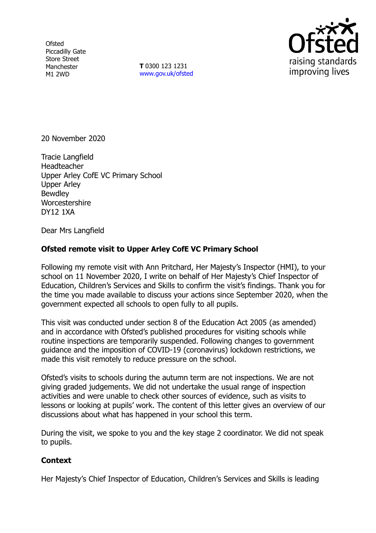**Ofsted** Piccadilly Gate Store Street Manchester M1 2WD

**T** 0300 123 1231 [www.gov.uk/ofsted](http://www.gov.uk/ofsted)



20 November 2020

Tracie Langfield Headteacher Upper Arley CofE VC Primary School Upper Arley **Bewdley Worcestershire** DY12 1XA

Dear Mrs Langfield

## **Ofsted remote visit to Upper Arley CofE VC Primary School**

Following my remote visit with Ann Pritchard, Her Majesty's Inspector (HMI), to your school on 11 November 2020, I write on behalf of Her Majesty's Chief Inspector of Education, Children's Services and Skills to confirm the visit's findings. Thank you for the time you made available to discuss your actions since September 2020, when the government expected all schools to open fully to all pupils.

This visit was conducted under section 8 of the Education Act 2005 (as amended) and in accordance with Ofsted's published procedures for visiting schools while routine inspections are temporarily suspended. Following changes to government guidance and the imposition of COVID-19 (coronavirus) lockdown restrictions, we made this visit remotely to reduce pressure on the school.

Ofsted's visits to schools during the autumn term are not inspections. We are not giving graded judgements. We did not undertake the usual range of inspection activities and were unable to check other sources of evidence, such as visits to lessons or looking at pupils' work. The content of this letter gives an overview of our discussions about what has happened in your school this term.

During the visit, we spoke to you and the key stage 2 coordinator. We did not speak to pupils.

## **Context**

Her Majesty's Chief Inspector of Education, Children's Services and Skills is leading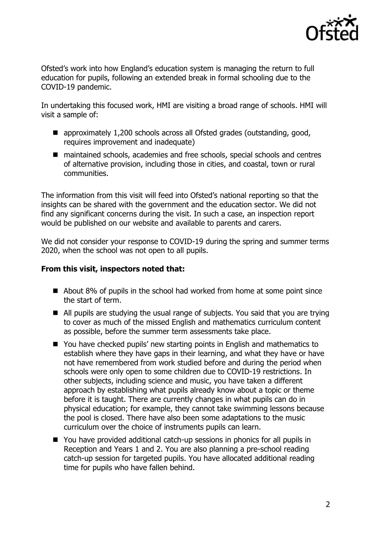

Ofsted's work into how England's education system is managing the return to full education for pupils, following an extended break in formal schooling due to the COVID-19 pandemic.

In undertaking this focused work, HMI are visiting a broad range of schools. HMI will visit a sample of:

- approximately 1,200 schools across all Ofsted grades (outstanding, good, requires improvement and inadequate)
- maintained schools, academies and free schools, special schools and centres of alternative provision, including those in cities, and coastal, town or rural communities.

The information from this visit will feed into Ofsted's national reporting so that the insights can be shared with the government and the education sector. We did not find any significant concerns during the visit. In such a case, an inspection report would be published on our website and available to parents and carers.

We did not consider your response to COVID-19 during the spring and summer terms 2020, when the school was not open to all pupils.

## **From this visit, inspectors noted that:**

- About 8% of pupils in the school had worked from home at some point since the start of term.
- All pupils are studying the usual range of subjects. You said that you are trying to cover as much of the missed English and mathematics curriculum content as possible, before the summer term assessments take place.
- You have checked pupils' new starting points in English and mathematics to establish where they have gaps in their learning, and what they have or have not have remembered from work studied before and during the period when schools were only open to some children due to COVID-19 restrictions. In other subjects, including science and music, you have taken a different approach by establishing what pupils already know about a topic or theme before it is taught. There are currently changes in what pupils can do in physical education; for example, they cannot take swimming lessons because the pool is closed. There have also been some adaptations to the music curriculum over the choice of instruments pupils can learn.
- You have provided additional catch-up sessions in phonics for all pupils in Reception and Years 1 and 2. You are also planning a pre-school reading catch-up session for targeted pupils. You have allocated additional reading time for pupils who have fallen behind.